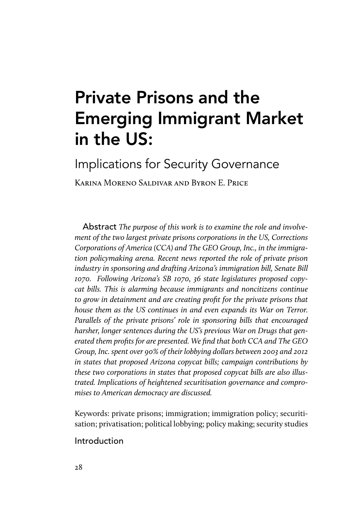# Private Prisons and the Emerging Immigrant Market in the US:

Implications for Security Governance

Karina Moreno Saldivar and Byron E. Price

Abstract *The purpose of this work is to examine the role and involvement of the two largest private prisons corporations in the US, Corrections Corporations of America (CCA) and The GEO Group, Inc., in the immigration policymaking arena. Recent news reported the role of private prison industry in sponsoring and drafting Arizona's immigration bill, Senate Bill 1070. Following Arizona's SB 1070, 36 state legislatures proposed copycat bills. This is alarming because immigrants and noncitizens continue to grow in detainment and are creating profit for the private prisons that house them as the US continues in and even expands its War on Terror. Parallels of the private prisons' role in sponsoring bills that encouraged harsher, longer sentences during the US's previous War on Drugs that generated them profits for are presented. We find that both CCA and The GEO Group, Inc. spent over 90% of their lobbying dollars between 2003 and 2012 in states that proposed Arizona copycat bills; campaign contributions by these two corporations in states that proposed copycat bills are also illustrated. Implications of heightened securitisation governance and compromises to American democracy are discussed.*

Keywords: private prisons; immigration; immigration policy; securitisation; privatisation; political lobbying; policy making; security studies

# Introduction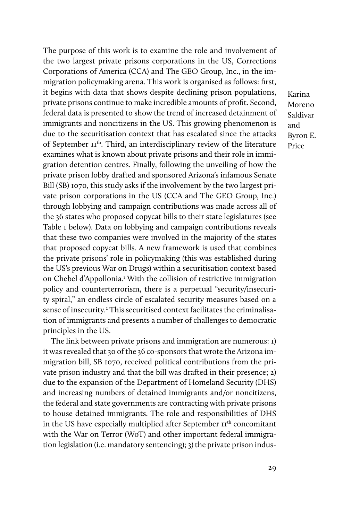The purpose of this work is to examine the role and involvement of the two largest private prisons corporations in the US, Corrections Corporations of America (CCA) and The GEO Group, Inc., in the immigration policymaking arena. This work is organised as follows: first, it begins with data that shows despite declining prison populations, private prisons continue to make incredible amounts of profit. Second, federal data is presented to show the trend of increased detainment of immigrants and noncitizens in the US. This growing phenomenon is due to the securitisation context that has escalated since the attacks of September 11th. Third, an interdisciplinary review of the literature examines what is known about private prisons and their role in immigration detention centres. Finally, following the unveiling of how the private prison lobby drafted and sponsored Arizona's infamous Senate Bill (SB) 1070, this study asks if the involvement by the two largest private prison corporations in the US (CCA and The GEO Group, Inc.) through lobbying and campaign contributions was made across all of the 36 states who proposed copycat bills to their state legislatures (see Table 1 below). Data on lobbying and campaign contributions reveals that these two companies were involved in the majority of the states that proposed copycat bills. A new framework is used that combines the private prisons' role in policymaking (this was established during the US's previous War on Drugs) within a securitisation context based on Chebel d'Appollonia.<sup>1</sup> With the collision of restrictive immigration policy and counterterrorism, there is a perpetual "security/insecurity spiral," an endless circle of escalated security measures based on a sense of insecurity.<sup>2</sup> This securitised context facilitates the criminalisation of immigrants and presents a number of challenges to democratic principles in the US.

The link between private prisons and immigration are numerous: 1) it was revealed that 30 of the 36 co-sponsors that wrote the Arizona immigration bill, SB 1070, received political contributions from the private prison industry and that the bill was drafted in their presence; 2) due to the expansion of the Department of Homeland Security (DHS) and increasing numbers of detained immigrants and/or noncitizens, the federal and state governments are contracting with private prisons to house detained immigrants. The role and responsibilities of DHS in the US have especially multiplied after September II<sup>th</sup> concomitant with the War on Terror (WoT) and other important federal immigration legislation (i.e. mandatory sentencing); 3) the private prison indus-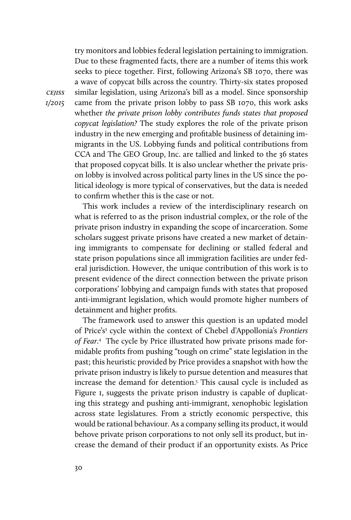try monitors and lobbies federal legislation pertaining to immigration. Due to these fragmented facts, there are a number of items this work seeks to piece together. First, following Arizona's SB 1070, there was a wave of copycat bills across the country. Thirty-six states proposed similar legislation, using Arizona's bill as a model. Since sponsorship came from the private prison lobby to pass SB 1070, this work asks whether *the private prison lobby contributes funds states that proposed copycat legislation?* The study explores the role of the private prison industry in the new emerging and profitable business of detaining immigrants in the US. Lobbying funds and political contributions from CCA and The GEO Group, Inc. are tallied and linked to the 36 states that proposed copycat bills. It is also unclear whether the private prison lobby is involved across political party lines in the US since the political ideology is more typical of conservatives, but the data is needed to confirm whether this is the case or not.

This work includes a review of the interdisciplinary research on what is referred to as the prison industrial complex, or the role of the private prison industry in expanding the scope of incarceration. Some scholars suggest private prisons have created a new market of detaining immigrants to compensate for declining or stalled federal and state prison populations since all immigration facilities are under federal jurisdiction. However, the unique contribution of this work is to present evidence of the direct connection between the private prison corporations' lobbying and campaign funds with states that proposed anti-immigrant legislation, which would promote higher numbers of detainment and higher profits.

The framework used to answer this question is an updated model of Price's<sup>3</sup> cycle within the context of Chebel d'Appollonia's Frontiers *of Fear*. 4 The cycle by Price illustrated how private prisons made formidable profits from pushing "tough on crime" state legislation in the past; this heuristic provided by Price provides a snapshot with how the private prison industry is likely to pursue detention and measures that increase the demand for detention.5 This causal cycle is included as Figure 1, suggests the private prison industry is capable of duplicating this strategy and pushing anti-immigrant, xenophobic legislation across state legislatures. From a strictly economic perspective, this would be rational behaviour. As a company selling its product, it would behove private prison corporations to not only sell its product, but increase the demand of their product if an opportunity exists. As Price

*cejiss*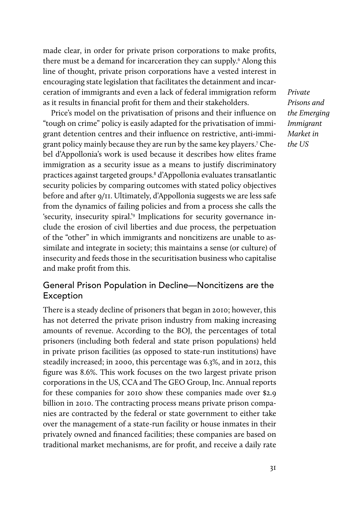made clear, in order for private prison corporations to make profits, there must be a demand for incarceration they can supply.<sup>6</sup> Along this line of thought, private prison corporations have a vested interest in encouraging state legislation that facilitates the detainment and incarceration of immigrants and even a lack of federal immigration reform as it results in financial profit for them and their stakeholders.

Price's model on the privatisation of prisons and their influence on "tough on crime" policy is easily adapted for the privatisation of immigrant detention centres and their influence on restrictive, anti-immigrant policy mainly because they are run by the same key players.7 Chebel d'Appollonia's work is used because it describes how elites frame immigration as a security issue as a means to justify discriminatory practices against targeted groups.8 d'Appollonia evaluates transatlantic security policies by comparing outcomes with stated policy objectives before and after 9/11. Ultimately, d'Appollonia suggests we are less safe from the dynamics of failing policies and from a process she calls the 'security, insecurity spiral.'9 Implications for security governance include the erosion of civil liberties and due process, the perpetuation of the "other" in which immigrants and noncitizens are unable to assimilate and integrate in society; this maintains a sense (or culture) of insecurity and feeds those in the securitisation business who capitalise and make profit from this.

# General Prison Population in Decline—Noncitizens are the Exception

There is a steady decline of prisoners that began in 2010; however, this has not deterred the private prison industry from making increasing amounts of revenue. According to the BOJ, the percentages of total prisoners (including both federal and state prison populations) held in private prison facilities (as opposed to state-run institutions) have steadily increased; in 2000, this percentage was 6.3%, and in 2012, this figure was 8.6%. This work focuses on the two largest private prison corporations in the US, CCA and The GEO Group, Inc. Annual reports for these companies for 2010 show these companies made over \$2.9 billion in 2010. The contracting process means private prison companies are contracted by the federal or state government to either take over the management of a state-run facility or house inmates in their privately owned and financed facilities; these companies are based on traditional market mechanisms, are for profit, and receive a daily rate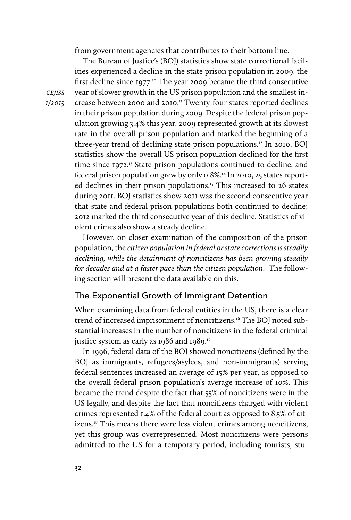from government agencies that contributes to their bottom line.

The Bureau of Justice's (BOJ) statistics show state correctional facilities experienced a decline in the state prison population in 2009, the first decline since  $1977$ <sup>10</sup>. The year 2009 became the third consecutive year of slower growth in the US prison population and the smallest increase between 2000 and 2010.11 Twenty-four states reported declines in their prison population during 2009. Despite the federal prison population growing 3.4% this year, 2009 represented growth at its slowest rate in the overall prison population and marked the beginning of a three-year trend of declining state prison populations.12 In 2010, BOJ statistics show the overall US prison population declined for the first time since 1972.<sup>13</sup> State prison populations continued to decline, and federal prison population grew by only 0.8%.<sup>14</sup> In 2010, 25 states reported declines in their prison populations.<sup>15</sup> This increased to 26 states during 2011. BOJ statistics show 2011 was the second consecutive year that state and federal prison populations both continued to decline; 2012 marked the third consecutive year of this decline. Statistics of violent crimes also show a steady decline.

However, on closer examination of the composition of the prison population, the *citizen population in federal or state corrections is steadily declining, while the detainment of noncitizens has been growing steadily for decades and at a faster pace than the citizen population*. The following section will present the data available on this.

# The Exponential Growth of Immigrant Detention

When examining data from federal entities in the US, there is a clear trend of increased imprisonment of noncitizens.<sup>16</sup> The BOJ noted substantial increases in the number of noncitizens in the federal criminal justice system as early as  $1986$  and  $1989$ .<sup>17</sup>

In 1996, federal data of the BOJ showed noncitizens (defined by the BOJ as immigrants, refugees/asylees, and non-immigrants) serving federal sentences increased an average of 15% per year, as opposed to the overall federal prison population's average increase of 10%. This became the trend despite the fact that 55% of noncitizens were in the US legally, and despite the fact that noncitizens charged with violent crimes represented 1.4% of the federal court as opposed to 8.5% of citizens.<sup>18</sup> This means there were less violent crimes among noncitizens, yet this group was overrepresented. Most noncitizens were persons admitted to the US for a temporary period, including tourists, stu-

*cejiss 1/2015*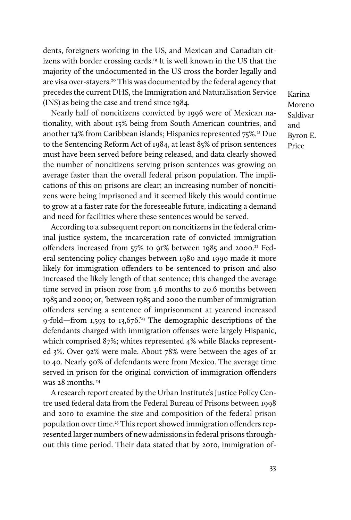dents, foreigners working in the US, and Mexican and Canadian citizens with border crossing cards.19 It is well known in the US that the majority of the undocumented in the US cross the border legally and are visa over-stayers.20 This was documented by the federal agency that precedes the current DHS, the Immigration and Naturalisation Service (INS) as being the case and trend since 1984.

Nearly half of noncitizens convicted by 1996 were of Mexican nationality, with about 15% being from South American countries, and another 14% from Caribbean islands; Hispanics represented 75%.<sup>21</sup> Due to the Sentencing Reform Act of 1984, at least 85% of prison sentences must have been served before being released, and data clearly showed the number of noncitizens serving prison sentences was growing on average faster than the overall federal prison population. The implications of this on prisons are clear; an increasing number of noncitizens were being imprisoned and it seemed likely this would continue to grow at a faster rate for the foreseeable future, indicating a demand and need for facilities where these sentences would be served.

According to a subsequent report on noncitizens in the federal criminal justice system, the incarceration rate of convicted immigration offenders increased from 57% to 91% between 1985 and 2000.<sup>22</sup> Federal sentencing policy changes between 1980 and 1990 made it more likely for immigration offenders to be sentenced to prison and also increased the likely length of that sentence; this changed the average time served in prison rose from 3.6 months to 20.6 months between 1985 and 2000; or, 'between 1985 and 2000 the number of immigration offenders serving a sentence of imprisonment at yearend increased 9-fold—from 1,593 to 13,676.'23 The demographic descriptions of the defendants charged with immigration offenses were largely Hispanic, which comprised 87%; whites represented 4% while Blacks represented 3%. Over 92% were male. About 78% were between the ages of 21 to 40. Nearly 90% of defendants were from Mexico. The average time served in prison for the original conviction of immigration offenders was 28 months. 24

A research report created by the Urban Institute's Justice Policy Centre used federal data from the Federal Bureau of Prisons between 1998 and 2010 to examine the size and composition of the federal prison population over time.25 This report showed immigration offenders represented larger numbers of new admissions in federal prisons throughout this time period. Their data stated that by 2010, immigration of-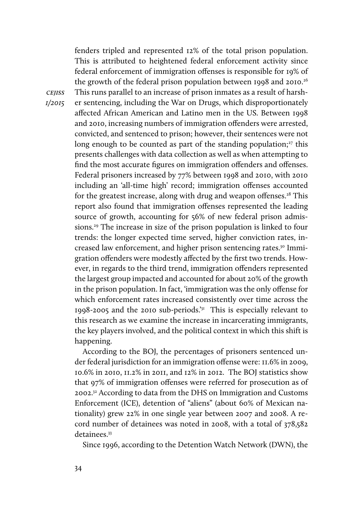*1/2015* fenders tripled and represented 12% of the total prison population. This is attributed to heightened federal enforcement activity since federal enforcement of immigration offenses is responsible for 19% of the growth of the federal prison population between 1998 and 2010.<sup>26</sup> This runs parallel to an increase of prison inmates as a result of harsher sentencing, including the War on Drugs, which disproportionately affected African American and Latino men in the US. Between 1998 and 2010, increasing numbers of immigration offenders were arrested, convicted, and sentenced to prison; however, their sentences were not long enough to be counted as part of the standing population; $27$  this presents challenges with data collection as well as when attempting to find the most accurate figures on immigration offenders and offenses. Federal prisoners increased by 77% between 1998 and 2010, with 2010 including an 'all-time high' record; immigration offenses accounted for the greatest increase, along with drug and weapon offenses.<sup>28</sup> This report also found that immigration offenses represented the leading source of growth, accounting for 56% of new federal prison admissions.29 The increase in size of the prison population is linked to four trends: the longer expected time served, higher conviction rates, increased law enforcement, and higher prison sentencing rates.<sup>30</sup> Immigration offenders were modestly affected by the first two trends. However, in regards to the third trend, immigration offenders represented the largest group impacted and accounted for about 20% of the growth in the prison population. In fact, 'immigration was the only offense for which enforcement rates increased consistently over time across the 1998-2005 and the 2010 sub-periods.'31 This is especially relevant to this research as we examine the increase in incarcerating immigrants, the key players involved, and the political context in which this shift is happening.

> According to the BOJ, the percentages of prisoners sentenced under federal jurisdiction for an immigration offense were: 11.6% in 2009, 10.6% in 2010, 11.2% in 2011, and 12% in 2012. The BOJ statistics show that 97% of immigration offenses were referred for prosecution as of 2002.32 According to data from the DHS on Immigration and Customs Enforcement (ICE), detention of "aliens" (about 60% of Mexican nationality) grew 22% in one single year between 2007 and 2008. A record number of detainees was noted in 2008, with a total of 378,582 detainees.<sup>33</sup>

Since 1996, according to the Detention Watch Network (DWN), the

*cejiss*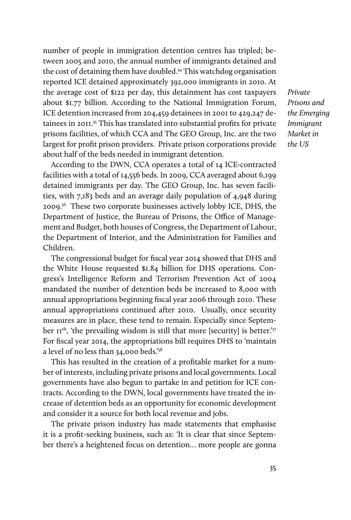number of people in immigration detention centres has tripled; between 2005 and 2010, the annual number of immigrants detained and the cost of detaining them have doubled.34 This watchdog organisation reported ICE detained approximately 392,000 immigrants in 2010. At the average cost of \$122 per day, this detainment has cost taxpayers about \$1.77 billion. According to the National Immigration Forum, ICE detention increased from 204,459 detainees in 2001 to 429,247 detainees in 2011.35 This has translated into substantial profits for private prisons facilities, of which CCA and The GEO Group, Inc. are the two largest for profit prison providers. Private prison corporations provide about half of the beds needed in immigrant detention.

According to the DWN, CCA operates a total of 14 ICE-contracted facilities with a total of 14,556 beds. In 2009, CCA averaged about 6,199 detained immigrants per day. The GEO Group, Inc. has seven facilities, with 7,183 beds and an average daily population of 4,948 during 2009.<sup>36</sup> These two corporate businesses actively lobby ICE, DHS, the Department of Justice, the Bureau of Prisons, the Office of Management and Budget, both houses of Congress, the Department of Labour, the Department of Interior, and the Administration for Families and Children.

The congressional budget for fiscal year 2014 showed that DHS and the White House requested \$1.84 billion for DHS operations. Congress's Intelligence Reform and Terrorism Prevention Act of 2004 mandated the number of detention beds be increased to 8,000 with annual appropriations beginning fiscal year 2006 through 2010. These annual appropriations continued after 2010. Usually, once security measures are in place, these tend to remain. Especially since September  $II<sup>th</sup>$ , 'the prevailing wisdom is still that more [security] is better.'<sup>37</sup> For fiscal year 2014, the appropriations bill requires DHS to 'maintain a level of no less than 34,000 beds.'38

This has resulted in the creation of a profitable market for a number of interests, including private prisons and local governments. Local governments have also begun to partake in and petition for ICE contracts. According to the DWN, local governments have treated the increase of detention beds as an opportunity for economic development and consider it a source for both local revenue and jobs.

The private prison industry has made statements that emphasise it is a profit-seeking business, such as: 'It is clear that since September there's a heightened focus on detention… more people are gonna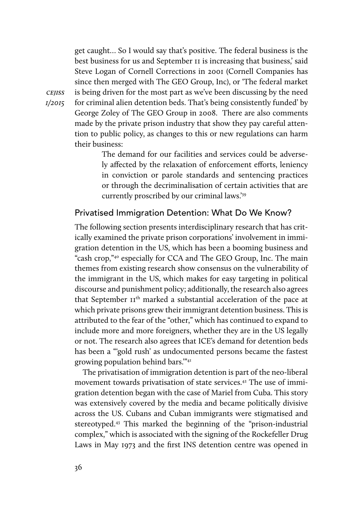get caught… So I would say that's positive. The federal business is the best business for us and September 11 is increasing that business,' said Steve Logan of Cornell Corrections in 2001 (Cornell Companies has since then merged with The GEO Group, Inc), or 'The federal market is being driven for the most part as we've been discussing by the need for criminal alien detention beds. That's being consistently funded' by George Zoley of The GEO Group in 2008. There are also comments made by the private prison industry that show they pay careful attention to public policy, as changes to this or new regulations can harm their business:

> The demand for our facilities and services could be adversely affected by the relaxation of enforcement efforts, leniency in conviction or parole standards and sentencing practices or through the decriminalisation of certain activities that are currently proscribed by our criminal laws.'39

## Privatised Immigration Detention: What Do We Know?

The following section presents interdisciplinary research that has critically examined the private prison corporations' involvement in immigration detention in the US, which has been a booming business and "cash crop,"40 especially for CCA and The GEO Group, Inc. The main themes from existing research show consensus on the vulnerability of the immigrant in the US, which makes for easy targeting in political discourse and punishment policy; additionally, the research also agrees that September II<sup>th</sup> marked a substantial acceleration of the pace at which private prisons grew their immigrant detention business. This is attributed to the fear of the "other," which has continued to expand to include more and more foreigners, whether they are in the US legally or not. The research also agrees that ICE's demand for detention beds has been a "'gold rush' as undocumented persons became the fastest growing population behind bars.'"41

The privatisation of immigration detention is part of the neo-liberal movement towards privatisation of state services.42 The use of immigration detention began with the case of Mariel from Cuba. This story was extensively covered by the media and became politically divisive across the US. Cubans and Cuban immigrants were stigmatised and stereotyped.43 This marked the beginning of the "prison-industrial complex," which is associated with the signing of the Rockefeller Drug Laws in May 1973 and the first INS detention centre was opened in

*cejiss 1/2015*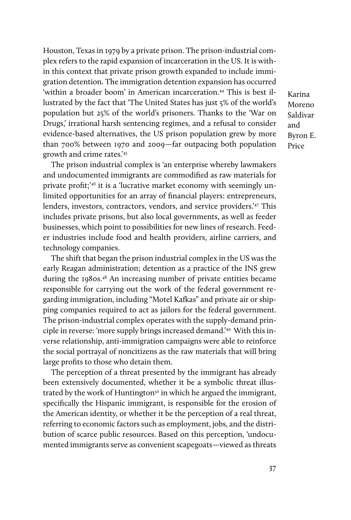Houston, Texas in 1979 by a private prison. The prison-industrial complex refers to the rapid expansion of incarceration in the US. It is within this context that private prison growth expanded to include immigration detention. The immigration detention expansion has occurred 'within a broader boom' in American incarceration.<sup>44</sup> This is best illustrated by the fact that 'The United States has just 5% of the world's population but 25% of the world's prisoners. Thanks to the 'War on Drugs,' irrational harsh sentencing regimes, and a refusal to consider evidence-based alternatives, the US prison population grew by more than 700% between 1970 and 2009—far outpacing both population growth and crime rates.'45

The prison industrial complex is 'an enterprise whereby lawmakers and undocumented immigrants are commodified as raw materials for private profit;'46 it is a 'lucrative market economy with seemingly unlimited opportunities for an array of financial players: entrepreneurs, lenders, investors, contractors, vendors, and service providers.'47 This includes private prisons, but also local governments, as well as feeder businesses, which point to possibilities for new lines of research. Feeder industries include food and health providers, airline carriers, and technology companies.

The shift that began the prison industrial complex in the US was the early Reagan administration; detention as a practice of the INS grew during the 1980s.48 An increasing number of private entities became responsible for carrying out the work of the federal government regarding immigration, including "Motel Kafkas" and private air or shipping companies required to act as jailors for the federal government. The prison-industrial complex operates with the supply-demand principle in reverse: 'more supply brings increased demand.'49 With this inverse relationship, anti-immigration campaigns were able to reinforce the social portrayal of noncitizens as the raw materials that will bring large profits to those who detain them.

The perception of a threat presented by the immigrant has already been extensively documented, whether it be a symbolic threat illustrated by the work of Huntington<sup>50</sup> in which he argued the immigrant, specifically the Hispanic immigrant, is responsible for the erosion of the American identity, or whether it be the perception of a real threat, referring to economic factors such as employment, jobs, and the distribution of scarce public resources. Based on this perception, 'undocumented immigrants serve as convenient scapegoats—viewed as threats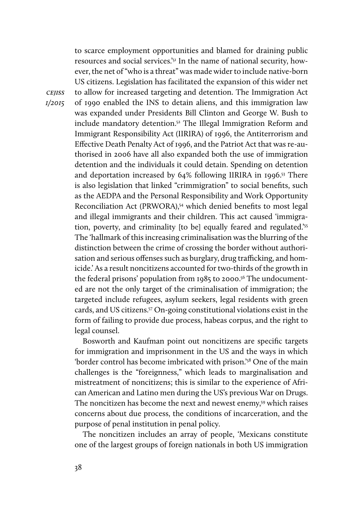to scarce employment opportunities and blamed for draining public resources and social services.'51 In the name of national security, however, the net of "who is a threat" was made wider to include native-born US citizens. Legislation has facilitated the expansion of this wider net to allow for increased targeting and detention. The Immigration Act of 1990 enabled the INS to detain aliens, and this immigration law was expanded under Presidents Bill Clinton and George W. Bush to include mandatory detention.<sup>52</sup> The Illegal Immigration Reform and Immigrant Responsibility Act (IIRIRA) of 1996, the Antiterrorism and Effective Death Penalty Act of 1996, and the Patriot Act that was re-authorised in 2006 have all also expanded both the use of immigration detention and the individuals it could detain. Spending on detention and deportation increased by 64% following IIRIRA in 1996.53 There is also legislation that linked "crimmigration" to social benefits, such as the AEDPA and the Personal Responsibility and Work Opportunity Reconciliation Act (PRWORA),54 which denied benefits to most legal and illegal immigrants and their children. This act caused 'immigration, poverty, and criminality [to be] equally feared and regulated.'55 The 'hallmark of this increasing criminalisation was the blurring of the distinction between the crime of crossing the border without authorisation and serious offenses such as burglary, drug trafficking, and homicide.' As a result noncitizens accounted for two-thirds of the growth in the federal prisons' population from 1985 to 2000.<sup>56</sup> The undocumented are not the only target of the criminalisation of immigration; the targeted include refugees, asylum seekers, legal residents with green cards, and US citizens.57 On-going constitutional violations exist in the form of failing to provide due process, habeas corpus, and the right to legal counsel.

Bosworth and Kaufman point out noncitizens are specific targets for immigration and imprisonment in the US and the ways in which 'border control has become imbricated with prison.'58 One of the main challenges is the "foreignness," which leads to marginalisation and mistreatment of noncitizens; this is similar to the experience of African American and Latino men during the US's previous War on Drugs. The noncitizen has become the next and newest enemy,<sup>59</sup> which raises concerns about due process, the conditions of incarceration, and the purpose of penal institution in penal policy.

The noncitizen includes an array of people, 'Mexicans constitute one of the largest groups of foreign nationals in both US immigration

*cejiss 1/2015*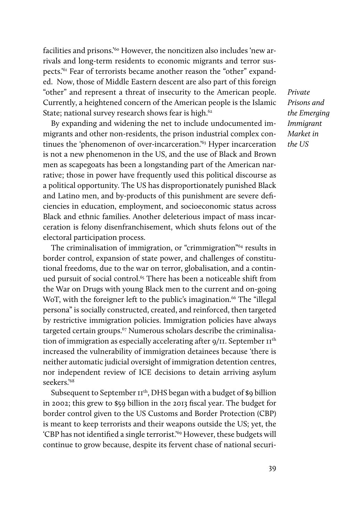facilities and prisons.<sup>'60</sup> However, the noncitizen also includes 'new arrivals and long-term residents to economic migrants and terror suspects.'61 Fear of terrorists became another reason the "other" expanded. Now, those of Middle Eastern descent are also part of this foreign "other" and represent a threat of insecurity to the American people. Currently, a heightened concern of the American people is the Islamic State; national survey research shows fear is high.<sup>62</sup>

By expanding and widening the net to include undocumented immigrants and other non-residents, the prison industrial complex continues the 'phenomenon of over-incarceration.<sup>'63</sup> Hyper incarceration is not a new phenomenon in the US, and the use of Black and Brown men as scapegoats has been a longstanding part of the American narrative; those in power have frequently used this political discourse as a political opportunity. The US has disproportionately punished Black and Latino men, and by-products of this punishment are severe deficiencies in education, employment, and socioeconomic status across Black and ethnic families. Another deleterious impact of mass incarceration is felony disenfranchisement, which shuts felons out of the electoral participation process.

The criminalisation of immigration, or "crimmigration"64 results in border control, expansion of state power, and challenges of constitutional freedoms, due to the war on terror, globalisation, and a continued pursuit of social control.<sup>65</sup> There has been a noticeable shift from the War on Drugs with young Black men to the current and on-going WoT, with the foreigner left to the public's imagination.<sup>66</sup> The "illegal" persona" is socially constructed, created, and reinforced, then targeted by restrictive immigration policies. Immigration policies have always targeted certain groups.<sup>67</sup> Numerous scholars describe the criminalisation of immigration as especially accelerating after  $9/11$ . September  $II<sup>th</sup>$ increased the vulnerability of immigration detainees because 'there is neither automatic judicial oversight of immigration detention centres, nor independent review of ICE decisions to detain arriving asylum seekers.'68

Subsequent to September  $II^{th}$ , DHS began with a budget of \$9 billion in 2002; this grew to \$59 billion in the 2013 fiscal year. The budget for border control given to the US Customs and Border Protection (CBP) is meant to keep terrorists and their weapons outside the US; yet, the 'CBP has not identified a single terrorist.'69 However, these budgets will continue to grow because, despite its fervent chase of national securi-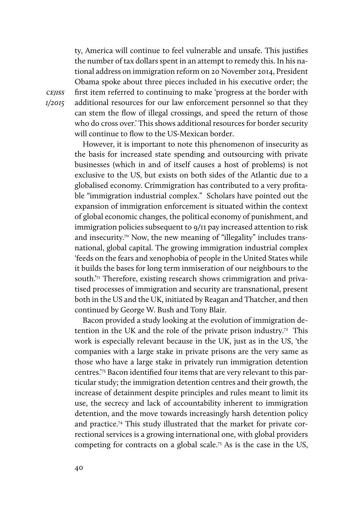ty, America will continue to feel vulnerable and unsafe. This justifies the number of tax dollars spent in an attempt to remedy this. In his national address on immigration reform on 20 November 2014, President Obama spoke about three pieces included in his executive order; the first item referred to continuing to make 'progress at the border with additional resources for our law enforcement personnel so that they can stem the flow of illegal crossings, and speed the return of those who do cross over.' This shows additional resources for border security will continue to flow to the US-Mexican border.

However, it is important to note this phenomenon of insecurity as the basis for increased state spending and outsourcing with private businesses (which in and of itself causes a host of problems) is not exclusive to the US, but exists on both sides of the Atlantic due to a globalised economy. Crimmigration has contributed to a very profitable "immigration industrial complex." Scholars have pointed out the expansion of immigration enforcement is situated within the context of global economic changes, the political economy of punishment, and immigration policies subsequent to 9/11 pay increased attention to risk and insecurity.<sup>70</sup> Now, the new meaning of "illegality" includes transnational, global capital. The growing immigration industrial complex 'feeds on the fears and xenophobia of people in the United States while it builds the bases for long term inmiseration of our neighbours to the south. $7<sup>7</sup>$  Therefore, existing research shows crimmigration and privatised processes of immigration and security are transnational, present both in the US and the UK, initiated by Reagan and Thatcher, and then continued by George W. Bush and Tony Blair.

Bacon provided a study looking at the evolution of immigration detention in the UK and the role of the private prison industry.<sup>72</sup> This work is especially relevant because in the UK, just as in the US, 'the companies with a large stake in private prisons are the very same as those who have a large stake in privately run immigration detention centres.'73 Bacon identified four items that are very relevant to this particular study; the immigration detention centres and their growth, the increase of detainment despite principles and rules meant to limit its use, the secrecy and lack of accountability inherent to immigration detention, and the move towards increasingly harsh detention policy and practice.74 This study illustrated that the market for private correctional services is a growing international one, with global providers competing for contracts on a global scale.<sup>75</sup> As is the case in the US,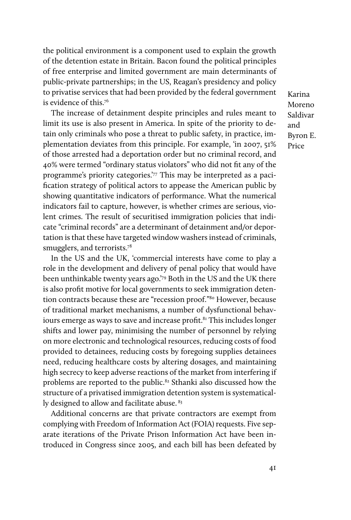the political environment is a component used to explain the growth of the detention estate in Britain. Bacon found the political principles of free enterprise and limited government are main determinants of public-private partnerships; in the US, Reagan's presidency and policy to privatise services that had been provided by the federal government is evidence of this.<sup>76</sup>

The increase of detainment despite principles and rules meant to limit its use is also present in America. In spite of the priority to detain only criminals who pose a threat to public safety, in practice, implementation deviates from this principle. For example, 'in 2007, 51% of those arrested had a deportation order but no criminal record, and 40% were termed "ordinary status violators" who did not fit any of the programme's priority categories.'<sup>77</sup> This may be interpreted as a pacification strategy of political actors to appease the American public by showing quantitative indicators of performance. What the numerical indicators fail to capture, however, is whether crimes are serious, violent crimes. The result of securitised immigration policies that indicate "criminal records" are a determinant of detainment and/or deportation is that these have targeted window washers instead of criminals, smugglers, and terrorists.<sup>78</sup>

In the US and the UK, 'commercial interests have come to play a role in the development and delivery of penal policy that would have been unthinkable twenty years ago.'79 Both in the US and the UK there is also profit motive for local governments to seek immigration detention contracts because these are "recession proof."80 However, because of traditional market mechanisms, a number of dysfunctional behaviours emerge as ways to save and increase profit.<sup>81</sup> This includes longer shifts and lower pay, minimising the number of personnel by relying on more electronic and technological resources, reducing costs of food provided to detainees, reducing costs by foregoing supplies detainees need, reducing healthcare costs by altering dosages, and maintaining high secrecy to keep adverse reactions of the market from interfering if problems are reported to the public.<sup>82</sup> Sthanki also discussed how the structure of a privatised immigration detention system is systematically designed to allow and facilitate abuse. 83

Additional concerns are that private contractors are exempt from complying with Freedom of Information Act (FOIA) requests. Five separate iterations of the Private Prison Information Act have been introduced in Congress since 2005, and each bill has been defeated by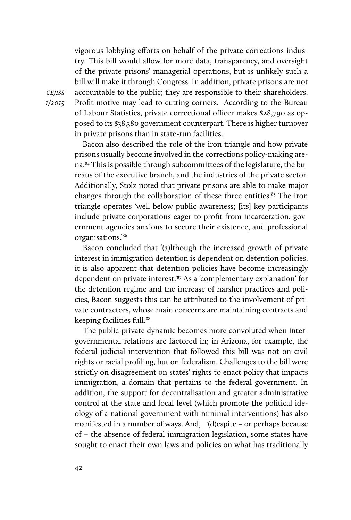vigorous lobbying efforts on behalf of the private corrections industry. This bill would allow for more data, transparency, and oversight of the private prisons' managerial operations, but is unlikely such a bill will make it through Congress. In addition, private prisons are not accountable to the public; they are responsible to their shareholders. Profit motive may lead to cutting corners. According to the Bureau of Labour Statistics, private correctional officer makes \$28,790 as opposed to its \$38,380 government counterpart. There is higher turnover in private prisons than in state-run facilities.

Bacon also described the role of the iron triangle and how private prisons usually become involved in the corrections policy-making arena.84 This is possible through subcommittees of the legislature, the bureaus of the executive branch, and the industries of the private sector. Additionally, Stolz noted that private prisons are able to make major changes through the collaboration of these three entities. $85$  The iron triangle operates 'well below public awareness; [its] key participants include private corporations eager to profit from incarceration, government agencies anxious to secure their existence, and professional organisations.'86

Bacon concluded that '(a)lthough the increased growth of private interest in immigration detention is dependent on detention policies, it is also apparent that detention policies have become increasingly dependent on private interest.'87 As a 'complementary explanation' for the detention regime and the increase of harsher practices and policies, Bacon suggests this can be attributed to the involvement of private contractors, whose main concerns are maintaining contracts and keeping facilities full.<sup>88</sup>

The public-private dynamic becomes more convoluted when intergovernmental relations are factored in; in Arizona, for example, the federal judicial intervention that followed this bill was not on civil rights or racial profiling, but on federalism. Challenges to the bill were strictly on disagreement on states' rights to enact policy that impacts immigration, a domain that pertains to the federal government. In addition, the support for decentralisation and greater administrative control at the state and local level (which promote the political ideology of a national government with minimal interventions) has also manifested in a number of ways. And, '(d)espite – or perhaps because of – the absence of federal immigration legislation, some states have sought to enact their own laws and policies on what has traditionally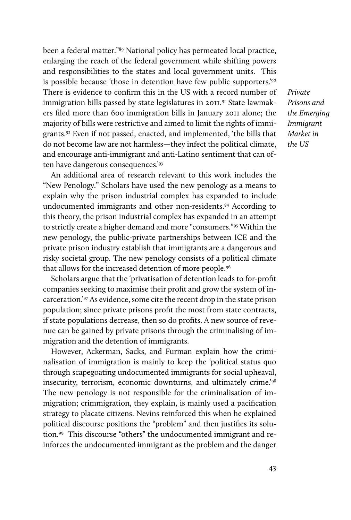been a federal matter."89 National policy has permeated local practice, enlarging the reach of the federal government while shifting powers and responsibilities to the states and local government units. This is possible because 'those in detention have few public supporters.'<sup>90</sup> There is evidence to confirm this in the US with a record number of immigration bills passed by state legislatures in 2011.<sup>91</sup> State lawmakers filed more than 600 immigration bills in January 2011 alone; the majority of bills were restrictive and aimed to limit the rights of immigrants.92 Even if not passed, enacted, and implemented, 'the bills that do not become law are not harmless—they infect the political climate, and encourage anti-immigrant and anti-Latino sentiment that can often have dangerous consequences.'93

An additional area of research relevant to this work includes the "New Penology." Scholars have used the new penology as a means to explain why the prison industrial complex has expanded to include undocumented immigrants and other non-residents.94 According to this theory, the prison industrial complex has expanded in an attempt to strictly create a higher demand and more "consumers."95 Within the new penology, the public-private partnerships between ICE and the private prison industry establish that immigrants are a dangerous and risky societal group. The new penology consists of a political climate that allows for the increased detention of more people.<sup>96</sup>

Scholars argue that the 'privatisation of detention leads to for-profit companies seeking to maximise their profit and grow the system of incarceration.'97 As evidence, some cite the recent drop in the state prison population; since private prisons profit the most from state contracts, if state populations decrease, then so do profits. A new source of revenue can be gained by private prisons through the criminalising of immigration and the detention of immigrants.

However, Ackerman, Sacks, and Furman explain how the criminalisation of immigration is mainly to keep the 'political status quo through scapegoating undocumented immigrants for social upheaval, insecurity, terrorism, economic downturns, and ultimately crime.'98 The new penology is not responsible for the criminalisation of immigration; crimmigration, they explain, is mainly used a pacification strategy to placate citizens. Nevins reinforced this when he explained political discourse positions the "problem" and then justifies its solution.99 This discourse "others" the undocumented immigrant and reinforces the undocumented immigrant as the problem and the danger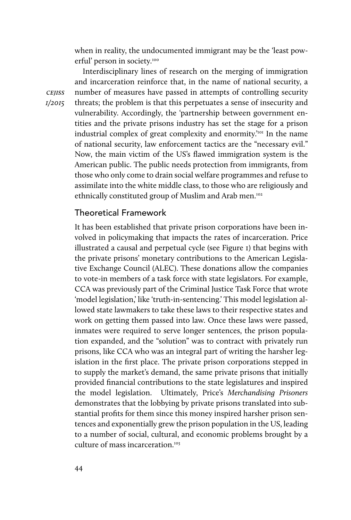when in reality, the undocumented immigrant may be the 'least powerful' person in society.<sup>100</sup>

Interdisciplinary lines of research on the merging of immigration and incarceration reinforce that, in the name of national security, a number of measures have passed in attempts of controlling security threats; the problem is that this perpetuates a sense of insecurity and vulnerability. Accordingly, the 'partnership between government entities and the private prisons industry has set the stage for a prison industrial complex of great complexity and enormity.<sup>'101</sup> In the name of national security, law enforcement tactics are the "necessary evil." Now, the main victim of the US's flawed immigration system is the American public. The public needs protection from immigrants, from those who only come to drain social welfare programmes and refuse to assimilate into the white middle class, to those who are religiously and ethnically constituted group of Muslim and Arab men.<sup>102</sup>

# Theoretical Framework

It has been established that private prison corporations have been involved in policymaking that impacts the rates of incarceration. Price illustrated a causal and perpetual cycle (see Figure 1) that begins with the private prisons' monetary contributions to the American Legislative Exchange Council (ALEC). These donations allow the companies to vote-in members of a task force with state legislators. For example, CCA was previously part of the Criminal Justice Task Force that wrote 'model legislation,' like 'truth-in-sentencing.' This model legislation allowed state lawmakers to take these laws to their respective states and work on getting them passed into law. Once these laws were passed, inmates were required to serve longer sentences, the prison population expanded, and the "solution" was to contract with privately run prisons, like CCA who was an integral part of writing the harsher legislation in the first place. The private prison corporations stepped in to supply the market's demand, the same private prisons that initially provided financial contributions to the state legislatures and inspired the model legislation. Ultimately, Price's *Merchandising Prisoners* demonstrates that the lobbying by private prisons translated into substantial profits for them since this money inspired harsher prison sentences and exponentially grew the prison population in the US, leading to a number of social, cultural, and economic problems brought by a culture of mass incarceration.<sup>103</sup>

*cejiss 1/2015*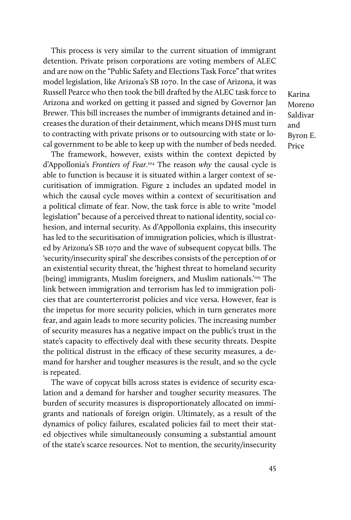This process is very similar to the current situation of immigrant detention. Private prison corporations are voting members of ALEC and are now on the "Public Safety and Elections Task Force" that writes model legislation, like Arizona's SB 1070. In the case of Arizona, it was Russell Pearce who then took the bill drafted by the ALEC task force to Arizona and worked on getting it passed and signed by Governor Jan Brewer. This bill increases the number of immigrants detained and increases the duration of their detainment, which means DHS must turn to contracting with private prisons or to outsourcing with state or local government to be able to keep up with the number of beds needed.

The framework, however, exists within the context depicted by d'Appollonia's *Frontiers of Fear*. 104 The reason *why* the causal cycle is able to function is because it is situated within a larger context of securitisation of immigration. Figure 2 includes an updated model in which the causal cycle moves within a context of securitisation and a political climate of fear. Now, the task force is able to write "model legislation" because of a perceived threat to national identity, social cohesion, and internal security. As d'Appollonia explains, this insecurity has led to the securitisation of immigration policies, which is illustrated by Arizona's SB 1070 and the wave of subsequent copycat bills. The 'security/insecurity spiral' she describes consists of the perception of or an existential security threat, the 'highest threat to homeland security [being] immigrants, Muslim foreigners, and Muslim nationals.<sup>'105</sup> The link between immigration and terrorism has led to immigration policies that are counterterrorist policies and vice versa. However, fear is the impetus for more security policies, which in turn generates more fear, and again leads to more security policies. The increasing number of security measures has a negative impact on the public's trust in the state's capacity to effectively deal with these security threats. Despite the political distrust in the efficacy of these security measures, a demand for harsher and tougher measures is the result, and so the cycle is repeated.

The wave of copycat bills across states is evidence of security escalation and a demand for harsher and tougher security measures. The burden of security measures is disproportionately allocated on immigrants and nationals of foreign origin. Ultimately, as a result of the dynamics of policy failures, escalated policies fail to meet their stated objectives while simultaneously consuming a substantial amount of the state's scarce resources. Not to mention, the security/insecurity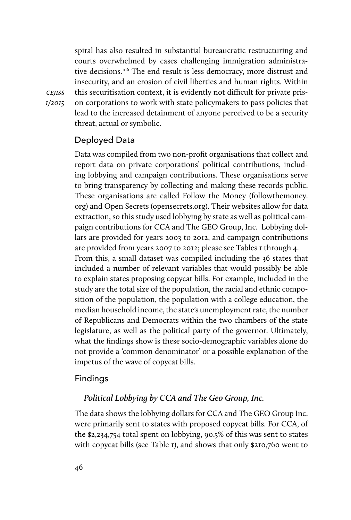spiral has also resulted in substantial bureaucratic restructuring and courts overwhelmed by cases challenging immigration administrative decisions.<sup>106</sup> The end result is less democracy, more distrust and insecurity, and an erosion of civil liberties and human rights. Within this securitisation context, it is evidently not difficult for private prison corporations to work with state policymakers to pass policies that lead to the increased detainment of anyone perceived to be a security threat, actual or symbolic.

## Deployed Data

*cejiss 1/2015*

> Data was compiled from two non-profit organisations that collect and report data on private corporations' political contributions, including lobbying and campaign contributions. These organisations serve to bring transparency by collecting and making these records public. These organisations are called Follow the Money (followthemoney. org) and Open Secrets (opensecrets.org). Their websites allow for data extraction, so this study used lobbying by state as well as political campaign contributions for CCA and The GEO Group, Inc. Lobbying dollars are provided for years 2003 to 2012, and campaign contributions are provided from years 2007 to 2012; please see Tables 1 through 4. From this, a small dataset was compiled including the 36 states that included a number of relevant variables that would possibly be able to explain states proposing copycat bills. For example, included in the study are the total size of the population, the racial and ethnic composition of the population, the population with a college education, the median household income, the state's unemployment rate, the number of Republicans and Democrats within the two chambers of the state legislature, as well as the political party of the governor. Ultimately, what the findings show is these socio-demographic variables alone do not provide a 'common denominator' or a possible explanation of the impetus of the wave of copycat bills.

## Findings

## *Political Lobbying by CCA and The Geo Group, Inc.*

The data shows the lobbying dollars for CCA and The GEO Group Inc. were primarily sent to states with proposed copycat bills. For CCA, of the \$2,234,754 total spent on lobbying, 90.5% of this was sent to states with copycat bills (see Table 1), and shows that only \$210,760 went to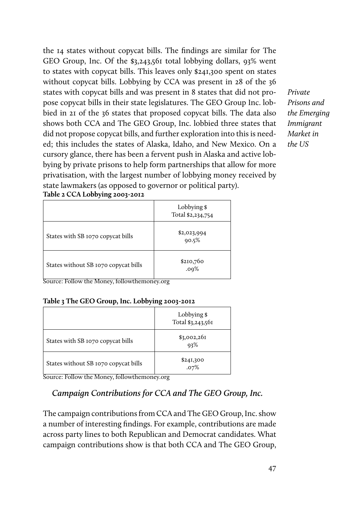the 14 states without copycat bills. The findings are similar for The GEO Group, Inc. Of the \$3,243,561 total lobbying dollars, 93% went to states with copycat bills. This leaves only \$241,300 spent on states without copycat bills. Lobbying by CCA was present in 28 of the 36 states with copycat bills and was present in 8 states that did not propose copycat bills in their state legislatures. The GEO Group Inc. lobbied in 21 of the 36 states that proposed copycat bills. The data also shows both CCA and The GEO Group, Inc. lobbied three states that did not propose copycat bills, and further exploration into this is needed; this includes the states of Alaska, Idaho, and New Mexico. On a cursory glance, there has been a fervent push in Alaska and active lobbying by private prisons to help form partnerships that allow for more privatisation, with the largest number of lobbying money received by state lawmakers (as opposed to governor or political party).

*Private Prisons and the Emerging Immigrant Market in the US* 

|                                                       | Lobbying \$<br>Total \$2,234,754 |
|-------------------------------------------------------|----------------------------------|
| States with SB 1070 copycat bills                     | \$2,023,994<br>90.5%             |
| States without SB 1070 copycat bills<br>≂<br>–<br>. . | \$210,760<br>.09%                |

Source: Follow the Money, followthemoney.org

#### **Table 3 The GEO Group, Inc. Lobbying 2003-2012**

|                                      | Lobbying \$<br>Total \$3,243,561 |
|--------------------------------------|----------------------------------|
| States with SB 1070 copycat bills    | \$3,002,261<br>93%               |
| States without SB 1070 copycat bills | \$241,300<br>.07%                |

Source: Follow the Money, followthemoney.org

# *Campaign Contributions for CCA and The GEO Group, Inc.*

The campaign contributions from CCA and The GEO Group, Inc. show a number of interesting findings. For example, contributions are made across party lines to both Republican and Democrat candidates. What campaign contributions show is that both CCA and The GEO Group,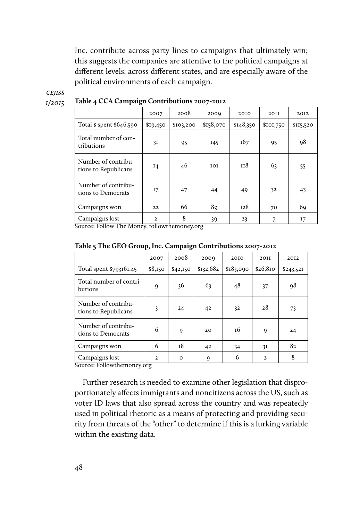Inc. contribute across party lines to campaigns that ultimately win; this suggests the companies are attentive to the political campaigns at different levels, across different states, and are especially aware of the political environments of each campaign.

# *cejiss*

*1/2015*

|                                             | 2007     | 2008      | 2009      | 2010      | 20II      | 2012      |
|---------------------------------------------|----------|-----------|-----------|-----------|-----------|-----------|
| Total \$ spent \$646,590                    | \$19,450 | \$103,200 | \$158,070 | \$148,350 | \$101,750 | \$115,520 |
| Total number of con-<br>tributions          | 3I       | 95        | I45       | 167       | 95        | 98        |
| Number of contribu-<br>tions to Republicans | 14       | 46        | 101       | 118       | 63        | 55        |
| Number of contribu-<br>tions to Democrats   | 17       | 47        | 44        | 49        | 32        | 43        |
| Campaigns won                               | 22       | 66        | 89        | 128       | 70        | 69        |
| Campaigns lost                              | 2        | 8         | 39        | 23        |           | 17        |

**Table 4 CCA Campaign Contributions 2007-2012** 

Source: Follow The Money, followthemoney.org

|  |  | Table 5 The GEO Group, Inc. Campaign Contributions 2007-2012 |
|--|--|--------------------------------------------------------------|
|--|--|--------------------------------------------------------------|

|                                             | 2007         | 2008        | 2000        | 2010      | <b>2011</b>  | 2012      |
|---------------------------------------------|--------------|-------------|-------------|-----------|--------------|-----------|
| Total spent \$793161.45                     | \$8,150      | \$42,150    | \$132,682   | \$183,090 | \$26,810     | \$243,521 |
| Total number of contri-<br>butions          | 9            | 36          | 63          | 48        | 37           | 98        |
| Number of contribu-<br>tions to Republicans | 3            | 24          | 42          | 32        | 28           | 73        |
| Number of contribu-<br>tions to Democrats   | 6            | $\mathbf Q$ | 20          | т6        | 9            | 24        |
| Campaigns won                               | 6            | 18          | 42          | 34        | 31           | 82        |
| Campaigns lost                              | $\mathbf{2}$ | $\mathbf 0$ | $\mathbf Q$ | 6         | $\mathbf{2}$ | 8         |

Source: Followthemoney.org

Further research is needed to examine other legislation that disproportionately affects immigrants and noncitizens across the US, such as voter ID laws that also spread across the country and was repeatedly used in political rhetoric as a means of protecting and providing security from threats of the "other" to determine if this is a lurking variable within the existing data.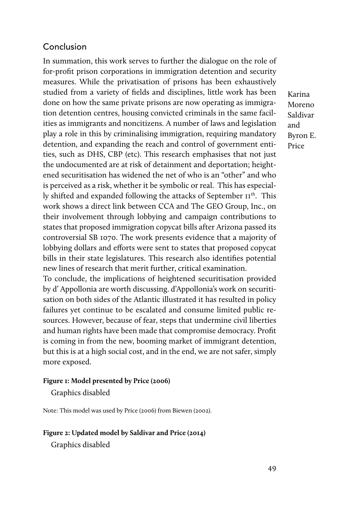# Conclusion

In summation, this work serves to further the dialogue on the role of for-profit prison corporations in immigration detention and security measures. While the privatisation of prisons has been exhaustively studied from a variety of fields and disciplines, little work has been done on how the same private prisons are now operating as immigration detention centres, housing convicted criminals in the same facilities as immigrants and noncitizens. A number of laws and legislation play a role in this by criminalising immigration, requiring mandatory detention, and expanding the reach and control of government entities, such as DHS, CBP (etc). This research emphasises that not just the undocumented are at risk of detainment and deportation; heightened securitisation has widened the net of who is an "other" and who is perceived as a risk, whether it be symbolic or real. This has especially shifted and expanded following the attacks of September II<sup>th</sup>. This work shows a direct link between CCA and The GEO Group, Inc., on their involvement through lobbying and campaign contributions to states that proposed immigration copycat bills after Arizona passed its controversial SB 1070. The work presents evidence that a majority of lobbying dollars and efforts were sent to states that proposed copycat bills in their state legislatures. This research also identifies potential new lines of research that merit further, critical examination.

To conclude, the implications of heightened securitisation provided by d' Appollonia are worth discussing. d'Appollonia's work on securitisation on both sides of the Atlantic illustrated it has resulted in policy failures yet continue to be escalated and consume limited public resources. However, because of fear, steps that undermine civil liberties and human rights have been made that compromise democracy. Profit is coming in from the new, booming market of immigrant detention, but this is at a high social cost, and in the end, we are not safer, simply more exposed.

#### **Figure 1: Model presented by Price (2006)**

Graphics disabled

Note: This model was used by Price (2006) from Biewen (2002).

#### **Figure 2: Updated model by Saldivar and Price (2014)**

Graphics disabled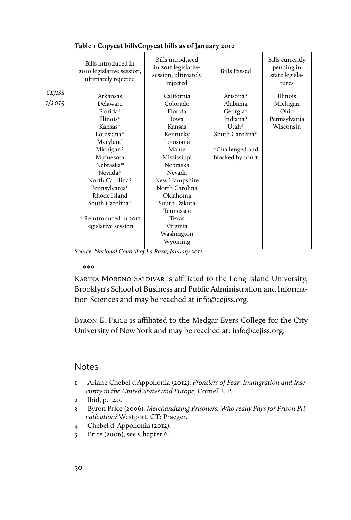|                    | Bills introduced in<br>2010 legislative session,<br>ultimately rejected | Bills introduced<br>in 2011 legislative<br>session, ultimately<br>rejected | <b>Bills Passed</b> | <b>Bills</b> currently<br>pending in<br>state legisla-<br>tures |
|--------------------|-------------------------------------------------------------------------|----------------------------------------------------------------------------|---------------------|-----------------------------------------------------------------|
| <b>CEJISS</b>      | Arkansas                                                                | California                                                                 | Arisona*            | <b>Illinois</b>                                                 |
| I/2O <sub>I5</sub> | Delaware                                                                | Colorado                                                                   | Alabama             | Michigan                                                        |
|                    | Florida*                                                                | Florida                                                                    | Georgia*            | Ohio                                                            |
|                    | Illinois*                                                               | lowa                                                                       | Indiana*            | Pennsylvania                                                    |
|                    | Kansas*                                                                 | Kansas                                                                     | Utah*               | Wisconsin                                                       |
|                    | Louisiana*                                                              | Kentucky                                                                   | South Carolina*     |                                                                 |
|                    | Maryland                                                                | Louisiana                                                                  |                     |                                                                 |
|                    | Michigan*                                                               | Maine                                                                      | *Challenged and     |                                                                 |
|                    | Minnesota                                                               | Mississippi                                                                | blocked by court    |                                                                 |
|                    | Nebraska*                                                               | Nebraska                                                                   |                     |                                                                 |
|                    | Nevada*                                                                 | Nevada                                                                     |                     |                                                                 |
|                    | North Carolina*                                                         | New Hampshire                                                              |                     |                                                                 |
|                    | Pennsylvania*                                                           | North Carolina                                                             |                     |                                                                 |
|                    | Rhode Island                                                            | Oklahoma                                                                   |                     |                                                                 |
|                    | South Carolina*                                                         | South Dakota                                                               |                     |                                                                 |
|                    |                                                                         | Tennessee                                                                  |                     |                                                                 |
|                    | * Reintroduced in 2011                                                  | <b>Texas</b>                                                               |                     |                                                                 |
|                    | legislative session                                                     | Virginia                                                                   |                     |                                                                 |
|                    |                                                                         | Washington                                                                 |                     |                                                                 |
|                    |                                                                         | Wyoming                                                                    |                     |                                                                 |

#### **Table 1 Copycat billsCopycat bills as of January 2012**

*Source: National Council of La Raza, January 2012*

 $*$   $*$   $*$ 

KARINA MORENO SALDIVAR is affiliated to the Long Island University, Brooklyn's School of Business and Public Administration and Information Sciences and may be reached at info@cejiss.org.

Byron E. Price is affiliated to the Medgar Evers College for the City University of New York and may be reached at: info@cejiss.org.

# **Notes**

- 1 Ariane Chebel d'Appollonia (2012), *Frontiers of Fear: Immigration and Insecurity in the United States and Europe*, Cornell UP.
- 2 Ibid, p. 140.
- 3 Byron Price (2006), *Merchandizing Prisoners: Who really Pays for Prison Privatization?* Westport, CT: Praeger.
- 4 Chebel d' Appollonia (2012).
- 5 Price (2006), see Chapter 6.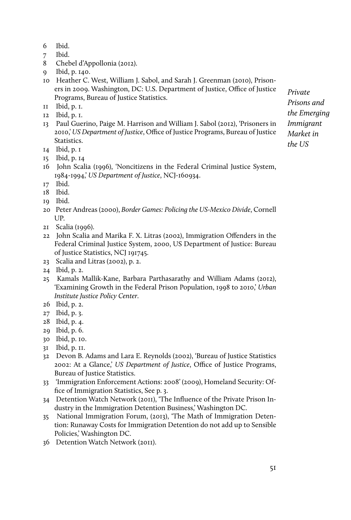- 6 Ibid.
- 7 Ibid.
- 8 Chebel d'Appollonia (2012).
- 9 Ibid, p. 140.
- 10 Heather C. West, William J. Sabol, and Sarah J. Greenman (2010), Prisoners in 2009. Washington, DC: U.S. Department of Justice, Office of Justice Programs, Bureau of Justice Statistics.
- 11 Ibid, p. 1.
- 12 Ibid, p. 1.
- 13 Paul Guerino, Paige M. Harrison and William J. Sabol (2012), 'Prisoners in 2010,' *US Department of Justice*, Office of Justice Programs, Bureau of Justice Statistics.
- 14 Ibid, p. 1
- 15 Ibid, p. 14
- 16 John Scalia (1996), 'Noncitizens in the Federal Criminal Justice System, 1984-1994,' *US Department of Justice*, NCJ-160934.
- 17 Ibid.
- 18 Ibid.
- 19 Ibid.
- 20 Peter Andreas (2000), *Border Games: Policing the US-Mexico Divide*, Cornell UP.
- 21 Scalia (1996).
- 22 John Scalia and Marika F. X. Litras (2002), Immigration Offenders in the Federal Criminal Justice System, 2000, US Department of Justice: Bureau of Justice Statistics, NCJ 191745.
- 23 Scalia and Litras (2002), p. 2.
- 24 Ibid, p. 2.
- 25 Kamals Mallik-Kane, Barbara Parthasarathy and William Adams (2012), 'Examining Growth in the Federal Prison Population, 1998 to 2010,' *Urban Institute Justice Policy Center*.
- 26 Ibid, p. 2.
- 27 Ibid, p. 3.
- 28 Ibid, p. 4.
- 29 Ibid, p. 6.
- 30 Ibid, p. 10.
- 31 Ibid, p. 11.
- 32 Devon B. Adams and Lara E. Reynolds (2002), 'Bureau of Justice Statistics 2002: At a Glance,' *US Department of Justice*, Office of Justice Programs, Bureau of Justice Statistics.
- 33 'Immigration Enforcement Actions: 2008' (2009), Homeland Security: Office of Immigration Statistics, See p. 3.
- 34 Detention Watch Network (2011), 'The Influence of the Private Prison Industry in the Immigration Detention Business,' Washington DC.
- 35 National Immigration Forum, (2013), 'The Math of Immigration Detention: Runaway Costs for Immigration Detention do not add up to Sensible Policies,' Washington DC.
- 36 Detention Watch Network (2011).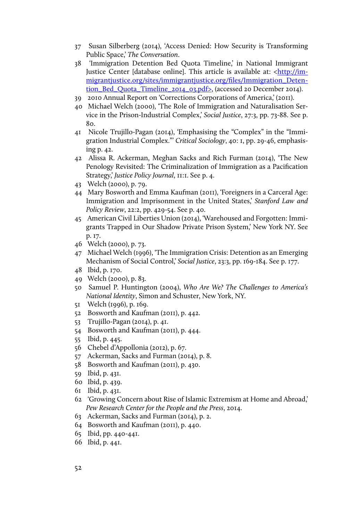- 37 Susan Silberberg (2014), 'Access Denied: How Security is Transforming Public Space,' *The Conversation*.
- 38 'Immigration Detention Bed Quota Timeline,' in National Immigrant Justice Center [database online]. This article is available at: [<http://im](http://immigrantjustice.org/sites/immigrantjustice.org/files/Immigration_Detention_Bed_Quota_Timeline_2014_03.pdf)[migrantjustice.org/sites/immigrantjustice.org/files/Immigration\\_Deten](http://immigrantjustice.org/sites/immigrantjustice.org/files/Immigration_Detention_Bed_Quota_Timeline_2014_03.pdf)[tion\\_Bed\\_Quota\\_Timeline\\_2014\\_03.pdf](http://immigrantjustice.org/sites/immigrantjustice.org/files/Immigration_Detention_Bed_Quota_Timeline_2014_03.pdf)>, (accessed 20 December 2014).
- 39 2010 Annual Report on 'Corrections Corporations of America,' (2011).
- 40 Michael Welch (2000), 'The Role of Immigration and Naturalisation Service in the Prison-Industrial Complex,' *Social Justice*, 27:3, pp. 73-88. See p. 80.
- 41 Nicole Trujillo-Pagan (2014), 'Emphasising the "Complex" in the "Immigration Industrial Complex."' *Critical Sociology*, 40: 1, pp. 29-46, emphasising p. 42.
- 42 Alissa R. Ackerman, Meghan Sacks and Rich Furman (2014), 'The New Penology Revisited: The Criminalization of Immigration as a Pacification Strategy,' *Justice Policy Journal*, 11:1. See p. 4.
- 43 Welch (2000), p. 79.
- 44 Mary Bosworth and Emma Kaufman (2011), 'Foreigners in a Carceral Age: Immigration and Imprisonment in the United States,' *Stanford Law and Policy Review*, 22:2, pp. 429-54. See p. 40.
- 45 American Civil Liberties Union (2014), 'Warehoused and Forgotten: Immigrants Trapped in Our Shadow Private Prison System,' New York NY. See p. 17.
- 46 Welch (2000), p. 73.
- 47 Michael Welch (1996), 'The Immigration Crisis: Detention as an Emerging Mechanism of Social Control,' *Social Justice*, 23:3, pp. 169-184. See p. 177.
- 48 Ibid, p. 170.
- 49 Welch (2000), p. 83.
- 50 Samuel P. Huntington (2004), *Who Are We? The Challenges to America's National Identity*, Simon and Schuster, New York, NY.
- 51 Welch (1996), p. 169.
- 52 Bosworth and Kaufman (2011), p. 442.
- 53 Trujillo-Pagan (2014), p. 41.
- 54 Bosworth and Kaufman (2011), p. 444.
- 55 Ibid, p. 445.
- 56 Chebel d'Appollonia (2012), p. 67.
- 57 Ackerman, Sacks and Furman (2014), p. 8.
- 58 Bosworth and Kaufman (2011), p. 430.
- 59 Ibid, p. 431.
- 60 Ibid, p. 439.
- 61 Ibid, p. 431.
- 62 'Growing Concern about Rise of Islamic Extremism at Home and Abroad,' *Pew Research Center for the People and the Press*, 2014.
- 63 Ackerman, Sacks and Furman (2014), p. 2.
- 64 Bosworth and Kaufman (2011), p. 440.
- 65 Ibid, pp. 440-441.
- 66 Ibid, p. 441.